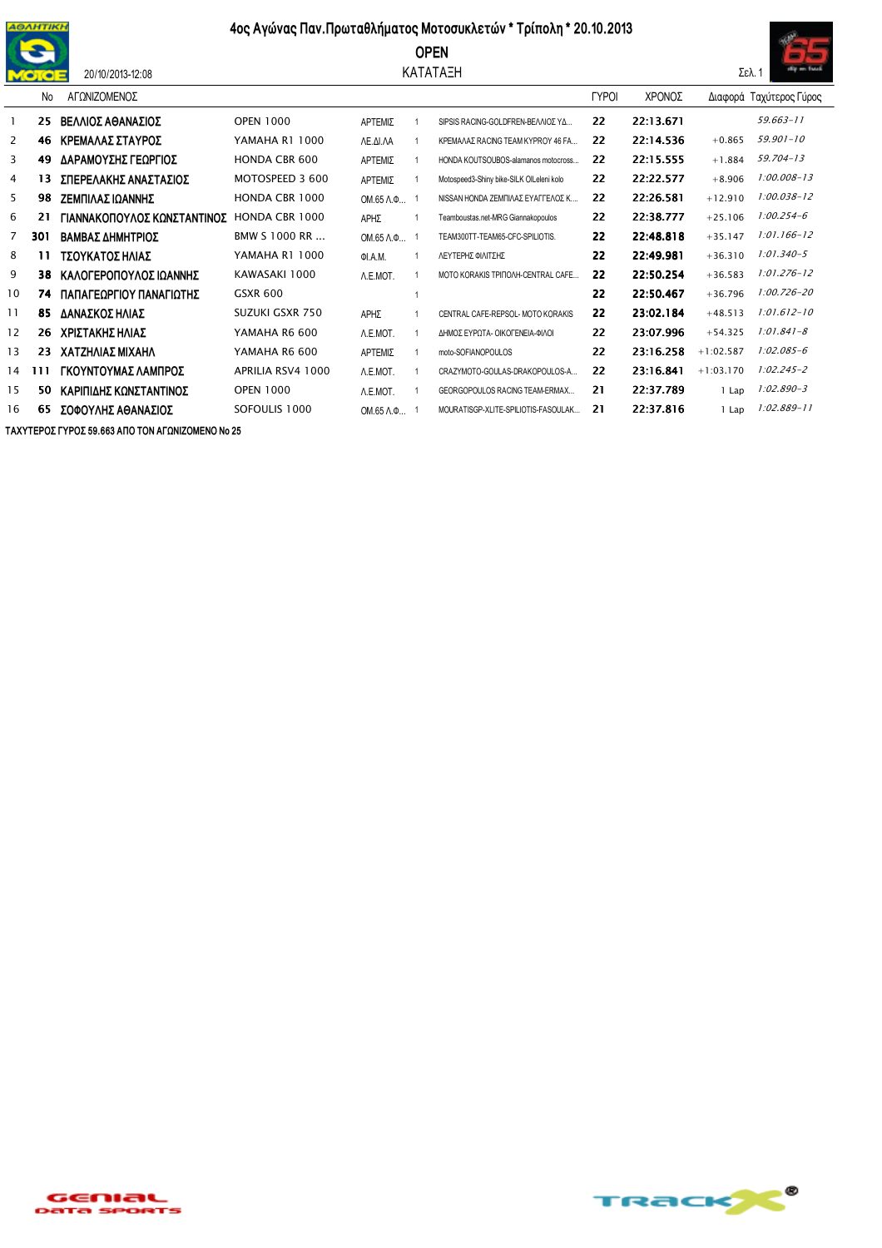

20/10/2013-12:08

## 4ος Αγώνας Παν. Πρωταθλήματος Μοτοσυκλετών \* Τρίπολη \* 20.10.2013

**OPEN** 

## ΚΑΤΑΤΑΞΗ



|                | No  | ΑΓΩΝΙΖΟΜΕΝΟΣ                |                      |                              |                                          | <b>TYPOI</b> | ΧΡΟΝΟΣ    |             | Διαφορά Ταχύτερος Γύρος |
|----------------|-----|-----------------------------|----------------------|------------------------------|------------------------------------------|--------------|-----------|-------------|-------------------------|
|                | 25  | ΒΕΛΛΙΟΣ ΑΘΑΝΑΣΙΟΣ           | <b>OPEN 1000</b>     | ΑΡΤΕΜΙΣ                      | SIPSIS RACING-GOLDFREN-BEAAIOZ YA        | 22           | 22:13.671 |             | 59.663-11               |
| 2              | 46  | ΚΡΕΜΑΛΑΣ ΣΤΑΥΡΟΣ            | YAMAHA R1 1000       | ΛΕ.ΔΙ.ΛΑ                     | ΚΡΕΜΑΛΑΣ RACING TEAM ΚΥΡRΟΥ 46 FA        | 22           | 22:14.536 | $+0.865$    | $59.901 - 10$           |
| 3              | 49  | ΔΑΡΑΜΟΥΣΗΣ ΓΕΩΡΓΙΟΣ         | <b>HONDA CBR 600</b> | ΑΡΤΕΜΙΣ                      | HONDA KOUTSOUBOS-alamanos motocross      | 22           | 22:15.555 | $+1.884$    | 59.704-13               |
| 4              | 13  | ΣΠΕΡΕΛΑΚΗΣ ΑΝΑΣΤΑΣΙΟΣ       | MOTOSPEED 3 600      | ΑΡΤΕΜΙΣ                      | Motospeed3-Shiny bike-SILK OlLeleni kolo | 22           | 22:22.577 | $+8.906$    | $1:00.008 - 13$         |
| 5              | 98  | ΖΕΜΠΙΛΑΣ ΙΩΑΝΝΗΣ            | HONDA CBR 1000       | $OM.65$ $\Lambda$ . $\Phi$ 1 | ΝΙSSAN HONDA ΖΕΜΠΙΛΑΣ ΕΥΑΓΓΕΛΟΣ Κ        | 22           | 22:26.581 | $+12.910$   | 1:00.038-12             |
| 6              | 21  | ΓΙΑΝΝΑΚΟΠΟΥΛΟΣ ΚΩΝΣΤΑΝΤΙΝΟΣ | HONDA CBR 1000       | ΑΡΗΣ                         | Teamboustas.net-MRG Giannakopoulos       | 22           | 22:38.777 | $+25.106$   | $1:00.254 - 6$          |
| $\overline{7}$ | 301 | ΒΑΜΒΑΣ ΔΗΜΗΤΡΙΟΣ            | BMW S 1000 RR        | OM.65 Λ.Φ                    | TEAM300TT-TEAM65-CFC-SPILIOTIS.          | 22           | 22:48.818 | $+35.147$   | $1:01.166 - 12$         |
| 8              | 11  | ΤΣΟΥΚΑΤΟΣ ΗΛΙΑΣ             | YAMAHA R1 1000       | QI.A.M.                      | ΛΕΥΤΕΡΗΣ ΦΙΛΙΤΣΗΣ                        | 22           | 22:49.981 | $+36.310$   | $1:01.340 - 5$          |
| 9              | 38  | ΚΑΛΟΓΕΡΟΠΟΥΛΟΣ ΙΩΑΝΝΗΣ      | KAWASAKI 1000        | A.E.MOT.                     | MOTO KORAKIS TPINOAH-CENTRAL CAFE        | 22           | 22:50.254 | $+36.583$   | $1:01.276 - 12$         |
| 10             | 74  | ΠΑΠΑΓΕΩΡΓΙΟΥ ΠΑΝΑΓΙΩΤΗΣ     | <b>GSXR 600</b>      |                              |                                          | 22           | 22:50.467 | $+36.796$   | $1:00.726 - 20$         |
| 11             | 85  | ΔΑΝΑΣΚΟΣ ΗΛΙΑΣ              | SUZUKI GSXR 750      | ΑΡΗΣ                         | CENTRAL CAFE-REPSOL-MOTO KORAKIS         | 22           | 23:02.184 | $+48.513$   | $1:01.612 - 10$         |
| 12             | 26  | ΧΡΙΣΤΑΚΗΣ ΗΛΙΑΣ             | YAMAHA R6 600        | A.E.MOT.                     | ΔΗΜΟΣ ΕΥΡΟΤΑ- ΟΙΚΟΓΕΝΕΙΑ-ΦΙΛΟΙ           | 22           | 23:07.996 | $+54.325$   | $1:01.841 - 8$          |
| 13             | 23. | ΧΑΤΖΗΛΙΑΣ ΜΙΧΑΗΛ            | YAMAHA R6 600        | ΑΡΤΕΜΙΣ                      | moto-SOFIANOPOULOS                       | 22           | 23:16.258 | $+1:02.587$ | $1:02.085 - 6$          |
| 14             | 111 | ΓΚΟΥΝΤΟΥΜΑΣ ΛΑΜΠΡΟΣ         | APRILIA RSV4 1000    | A.E.MOT.                     | CRAZYMOTO-GOULAS-DRAKOPOULOS-A           | 22           | 23:16.841 | $+1:03.170$ | $1:02.245 - 2$          |
| 15             | 50  | ΚΑΡΙΠΙΔΗΣ ΚΩΝΣΤΑΝΤΙΝΟΣ      | <b>OPEN 1000</b>     | A.E.MOT.                     | GEORGOPOULOS RACING TEAM-ERMAX           | 21           | 22:37.789 | 1 Lap       | $1:02.890 - 3$          |
| 16             | 65  | ΣΟΦΟΥΛΗΣ ΑΘΑΝΑΣΙΟΣ          | SOFOULIS 1000        | $OM.65$ $\Lambda$ . $\Phi$ 1 | MOURATISGP-XLITE-SPILIOTIS-FASOULAK      | 21           | 22:37.816 | 1 Lap       | $1:02.889 - 11$         |

ΤΑΧΥΤΕΡΟΣ ΓΥΡΟΣ 59.663 ΑΠΟ ΤΟΝ ΑΓΩΝΙΖΟΜΕΝΟ Νο 25